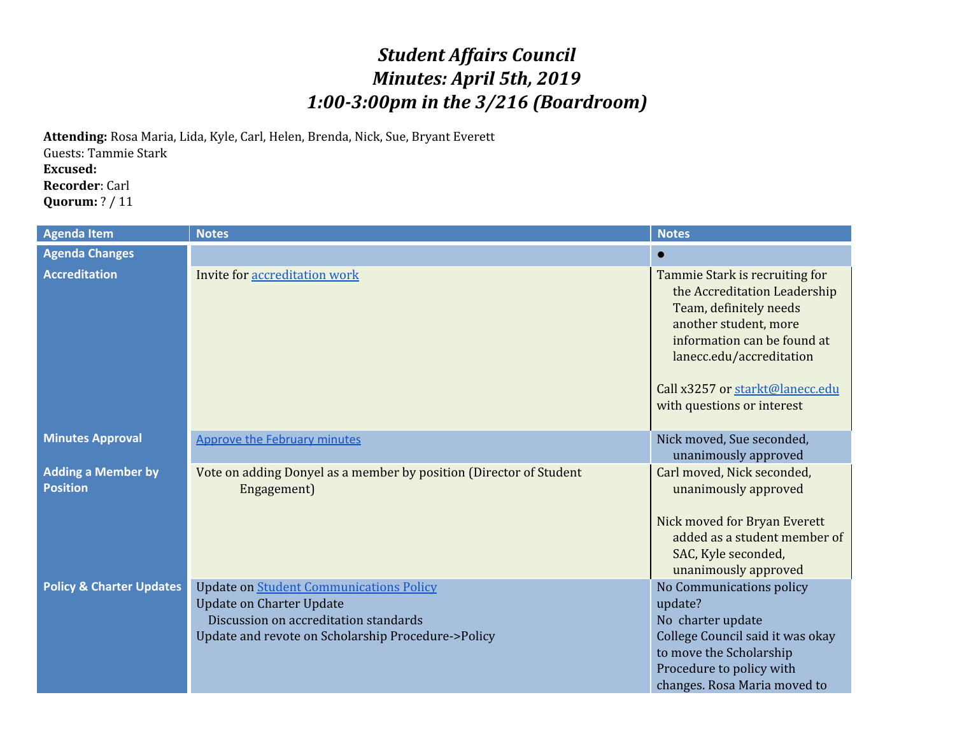## *Student Affairs Council Minutes: April 5th, 2019 1:00-3:00pm in the 3/216 (Boardroom)*

**Attending:** Rosa Maria, Lida, Kyle, Carl, Helen, Brenda, Nick, Sue, Bryant Everett Guests: Tammie Stark **Excused: Recorder**: Carl **Quorum:** ? / 11

| <b>Agenda Item</b>                    | <b>Notes</b>                                                                                                                                                                     | <b>Notes</b>                                                                                                                                                                                                                                  |
|---------------------------------------|----------------------------------------------------------------------------------------------------------------------------------------------------------------------------------|-----------------------------------------------------------------------------------------------------------------------------------------------------------------------------------------------------------------------------------------------|
| <b>Agenda Changes</b>                 |                                                                                                                                                                                  |                                                                                                                                                                                                                                               |
| <b>Accreditation</b>                  | Invite for accreditation work                                                                                                                                                    | Tammie Stark is recruiting for<br>the Accreditation Leadership<br>Team, definitely needs<br>another student, more<br>information can be found at<br>lanecc.edu/accreditation<br>Call x3257 or starkt@lanecc.edu<br>with questions or interest |
| <b>Minutes Approval</b>               | <b>Approve the February minutes</b>                                                                                                                                              | Nick moved, Sue seconded,<br>unanimously approved                                                                                                                                                                                             |
| <b>Adding a Member by</b><br>Position | Vote on adding Donyel as a member by position (Director of Student<br>Engagement)                                                                                                | Carl moved, Nick seconded,<br>unanimously approved<br>Nick moved for Bryan Everett<br>added as a student member of<br>SAC, Kyle seconded,<br>unanimously approved                                                                             |
| <b>Policy &amp; Charter Updates</b>   | <b>Update on Student Communications Policy</b><br><b>Update on Charter Update</b><br>Discussion on accreditation standards<br>Update and revote on Scholarship Procedure->Policy | No Communications policy<br>update?<br>No charter update<br>College Council said it was okay<br>to move the Scholarship<br>Procedure to policy with<br>changes. Rosa Maria moved to                                                           |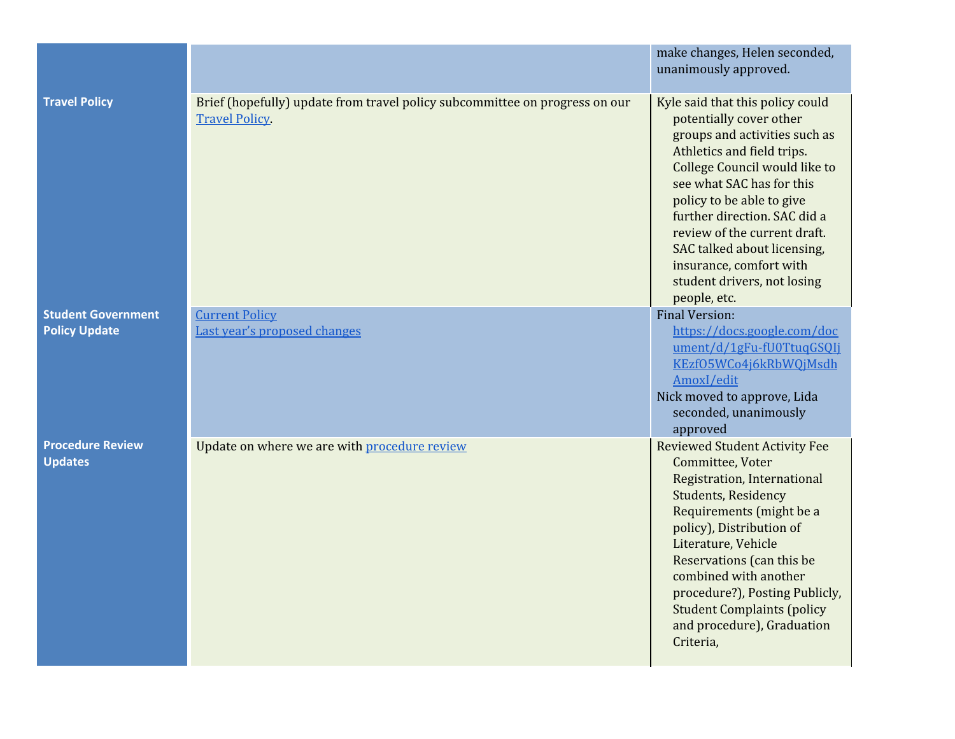|                                                   |                                                                                                     | make changes, Helen seconded,<br>unanimously approved.                                                                                                                                                                                                                                                                                                                                         |
|---------------------------------------------------|-----------------------------------------------------------------------------------------------------|------------------------------------------------------------------------------------------------------------------------------------------------------------------------------------------------------------------------------------------------------------------------------------------------------------------------------------------------------------------------------------------------|
| <b>Travel Policy</b>                              | Brief (hopefully) update from travel policy subcommittee on progress on our<br><b>Travel Policy</b> | Kyle said that this policy could<br>potentially cover other<br>groups and activities such as<br>Athletics and field trips.<br>College Council would like to<br>see what SAC has for this<br>policy to be able to give<br>further direction. SAC did a<br>review of the current draft.<br>SAC talked about licensing,<br>insurance, comfort with<br>student drivers, not losing<br>people, etc. |
| <b>Student Government</b><br><b>Policy Update</b> | <b>Current Policy</b><br>Last year's proposed changes                                               | <b>Final Version:</b><br>https://docs.google.com/doc<br>ument/d/1gFu-fU0TtuqGSQIj<br>KEzf05WCo4j6kRbWQjMsdh<br>AmoxI/edit<br>Nick moved to approve, Lida<br>seconded, unanimously<br>approved                                                                                                                                                                                                  |
| <b>Procedure Review</b><br><b>Updates</b>         | Update on where we are with procedure review                                                        | <b>Reviewed Student Activity Fee</b><br>Committee, Voter<br>Registration, International<br><b>Students, Residency</b><br>Requirements (might be a<br>policy), Distribution of<br>Literature, Vehicle<br>Reservations (can this be<br>combined with another<br>procedure?), Posting Publicly,<br><b>Student Complaints (policy</b><br>and procedure), Graduation<br>Criteria,                   |